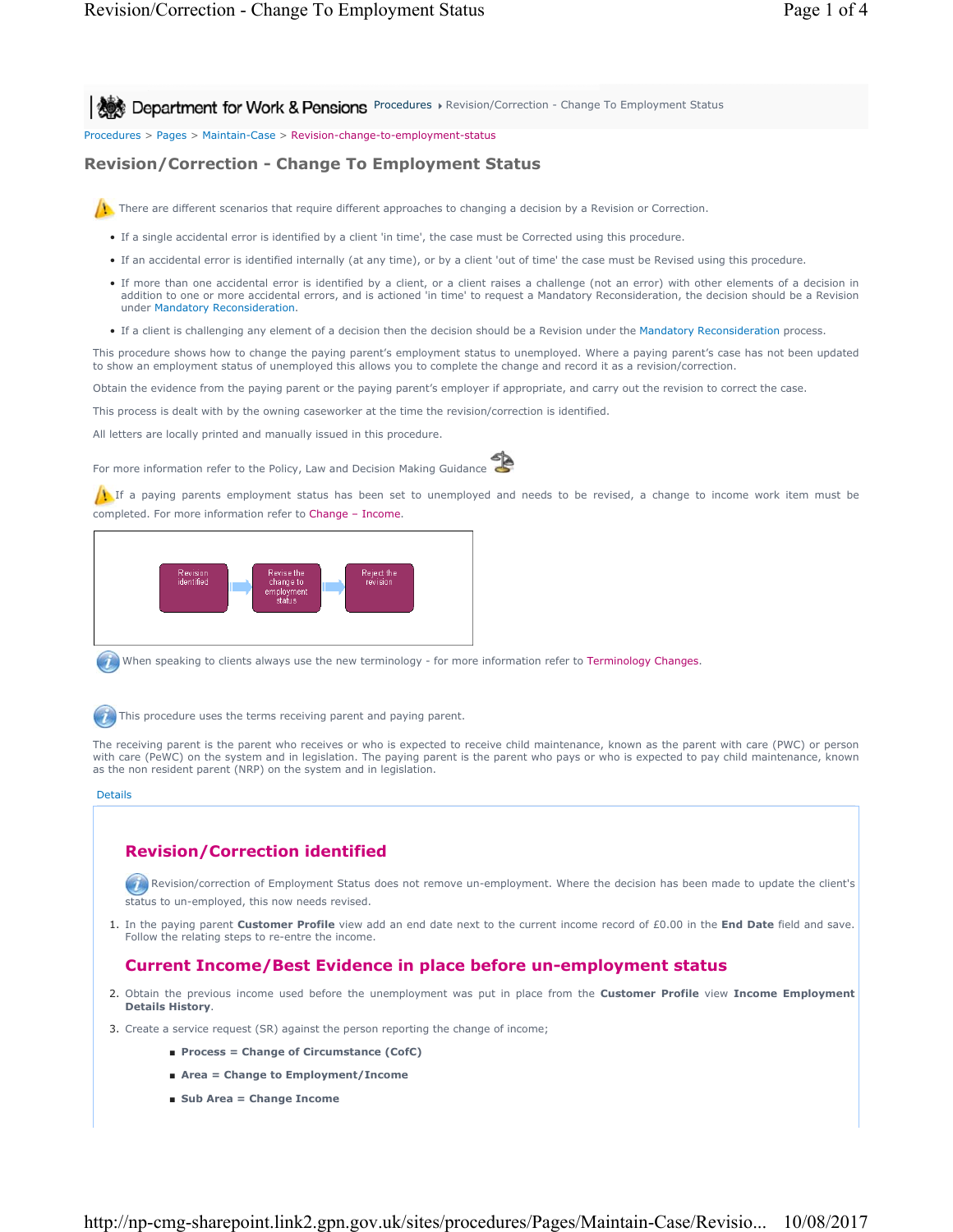**Procedures A Revision/Correction - Change To Employment Status** Pencedures Procedures > Revision/Correction - Change To Employment Status

Procedures > Pages > Maintain-Case > Revision-change-to-employment-status

# **Revision/Correction - Change To Employment Status**

There are different scenarios that require different approaches to changing a decision by a Revision or Correction.

- If a single accidental error is identified by a client 'in time', the case must be Corrected using this procedure.
- If an accidental error is identified internally (at any time), or by a client 'out of time' the case must be Revised using this procedure.
- If more than one accidental error is identified by a client, or a client raises a challenge (not an error) with other elements of a decision in addition to one or more accidental errors, and is actioned 'in time' to request a Mandatory Reconsideration, the decision should be a Revision under Mandatory Reconsideration.
- If a client is challenging any element of a decision then the decision should be a Revision under the Mandatory Reconsideration process.

This procedure shows how to change the paying parent's employment status to unemployed. Where a paying parent's case has not been updated to show an employment status of unemployed this allows you to complete the change and record it as a revision/correction.

Obtain the evidence from the paying parent or the paying parent's employer if appropriate, and carry out the revision to correct the case.

This process is dealt with by the owning caseworker at the time the revision/correction is identified.

All letters are locally printed and manually issued in this procedure.

For more information refer to the Policy, Law and Decision Making Guidance



If a paying parents employment status has been set to unemployed and needs to be revised, a change to income work item must be completed. For more information refer to Change – Income.



When speaking to clients always use the new terminology - for more information refer to Terminology Changes.



This procedure uses the terms receiving parent and paying parent.

The receiving parent is the parent who receives or who is expected to receive child maintenance, known as the parent with care (PWC) or person with care (PeWC) on the system and in legislation. The paying parent is the parent who pays or who is expected to pay child maintenance, known as the non resident parent (NRP) on the system and in legislation.

#### Details

# **Revision/Correction identified**

**Revision/correction of Employment Status does not remove un-employment. Where the decision has been made to update the client's** status to un-employed, this now needs revised.

1. In the paying parent **Customer Profile** view add an end date next to the current income record of £0.00 in the **End Date** field and save. Follow the relating steps to re-entre the income.

## **Current Income/Best Evidence in place before un-employment status**

- 2. Obtain the previous income used before the unemployment was put in place from the **Customer Profile** view Income Employment **Details History**.
- 3. Create a service request (SR) against the person reporting the change of income;
	- **Process = Change of Circumstance (CofC)**
	- **Area = Change to Employment/Income**
	- **Sub Area = Change Income**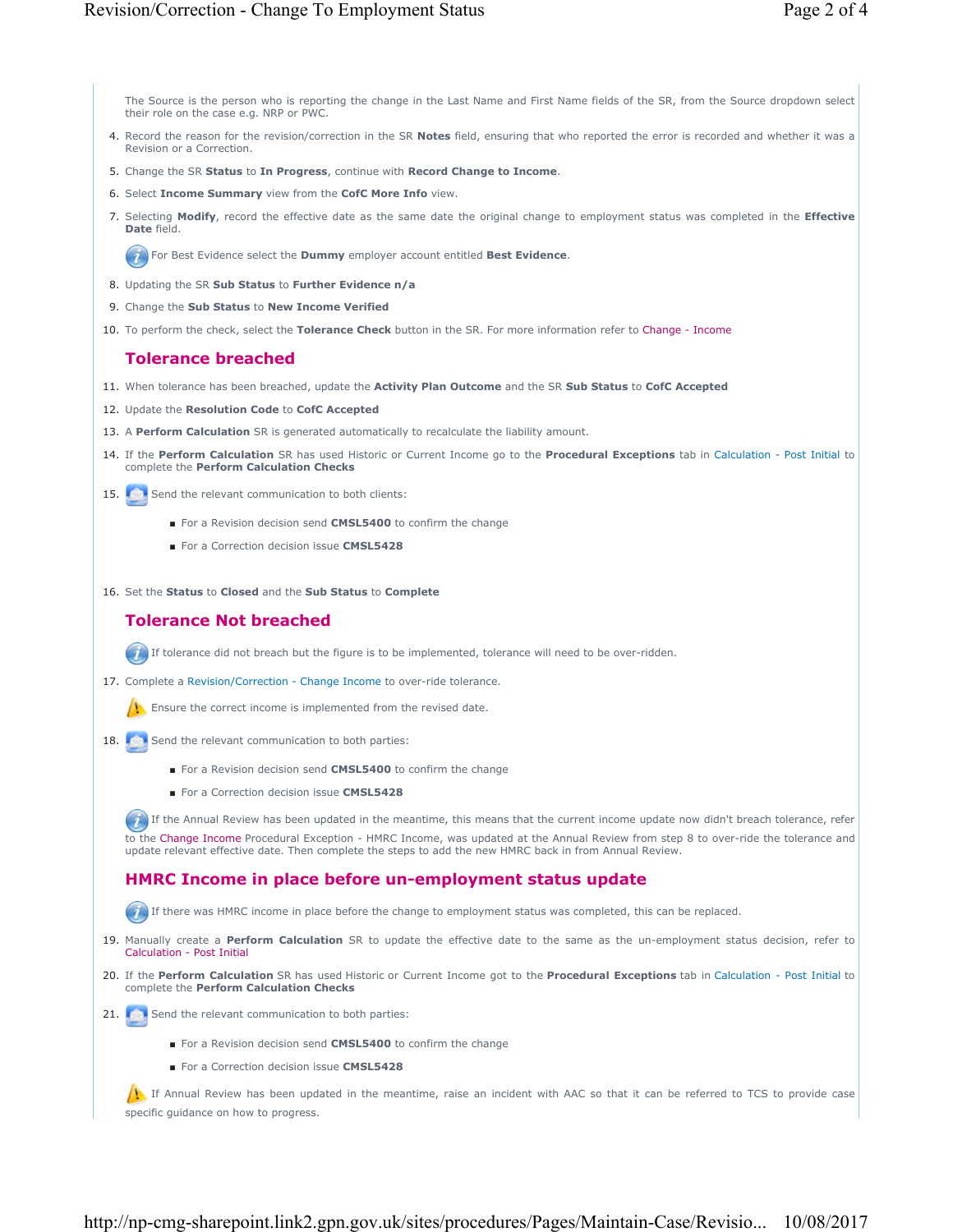The Source is the person who is reporting the change in the Last Name and First Name fields of the SR, from the Source dropdown select their role on the case e.g. NRP or PWC.

- 4. Record the reason for the revision/correction in the SR **Notes** field, ensuring that who reported the error is recorded and whether it was a Revision or a Correction.
- 5. Change the SR **Status** to **In Progress**, continue with **Record Change to Income**.
- 6. Select **Income Summary** view from the **CofC More Info** view.
- Selecting **Modify**, record the effective date as the same date the original change to employment status was completed in the **Effective** 7. **Date** field.

For Best Evidence select the **Dummy** employer account entitled **Best Evidence**.

- 8. Updating the SR **Sub Status** to **Further Evidence n/a**
- 9. Change the **Sub Status** to **New Income Verified**
- 10. To perform the check, select the **Tolerance Check** button in the SR. For more information refer to Change Income

### **Tolerance breached**

- 11. When tolerance has been breached, update the **Activity Plan Outcome** and the SR **Sub Status** to **CofC Accepted**
- 12. Update the **Resolution Code** to **CofC Accepted**
- 13. A **Perform Calculation** SR is generated automatically to recalculate the liability amount.
- 14. If the Perform Calculation SR has used Historic or Current Income go to the Procedural Exceptions tab in Calculation Post Initial to complete the **Perform Calculation Checks**
- 15. Send the relevant communication to both clients:
	- For a Revision decision send **CMSL5400** to confirm the change
	- For a Correction decision issue **CMSL5428**

16. Set the **Status** to **Closed** and the **Sub Status** to **Complete**

# **Tolerance Not breached**

If tolerance did not breach but the figure is to be implemented, tolerance will need to be over-ridden.

17. Complete a Revision/Correction - Change Income to over-ride tolerance.

 $\bigwedge$  Ensure the correct income is implemented from the revised date.

- 18. Send the relevant communication to both parties:
	- For a Revision decision send **CMSL5400** to confirm the change
	- For a Correction decision issue **CMSL5428**

If the Annual Review has been updated in the meantime, this means that the current income update now didn't breach tolerance, refer to the Change Income Procedural Exception - HMRC Income, was updated at the Annual Review from step 8 to over-ride the tolerance and update relevant effective date. Then complete the steps to add the new HMRC back in from Annual Review.

## **HMRC Income in place before un-employment status update**

If there was HMRC income in place before the change to employment status was completed, this can be replaced.

- 19. Manually create a Perform Calculation SR to update the effective date to the same as the un-employment status decision, refer to Calculation - Post Initial
- 20. If the Perform Calculation SR has used Historic or Current Income got to the Procedural Exceptions tab in Calculation Post Initial to complete the **Perform Calculation Checks**
- 21. Send the relevant communication to both parties:
	- For a Revision decision send **CMSL5400** to confirm the change
	- For a Correction decision issue CMSL5428

If Annual Review has been updated in the meantime, raise an incident with AAC so that it can be referred to TCS to provide case specific guidance on how to progress.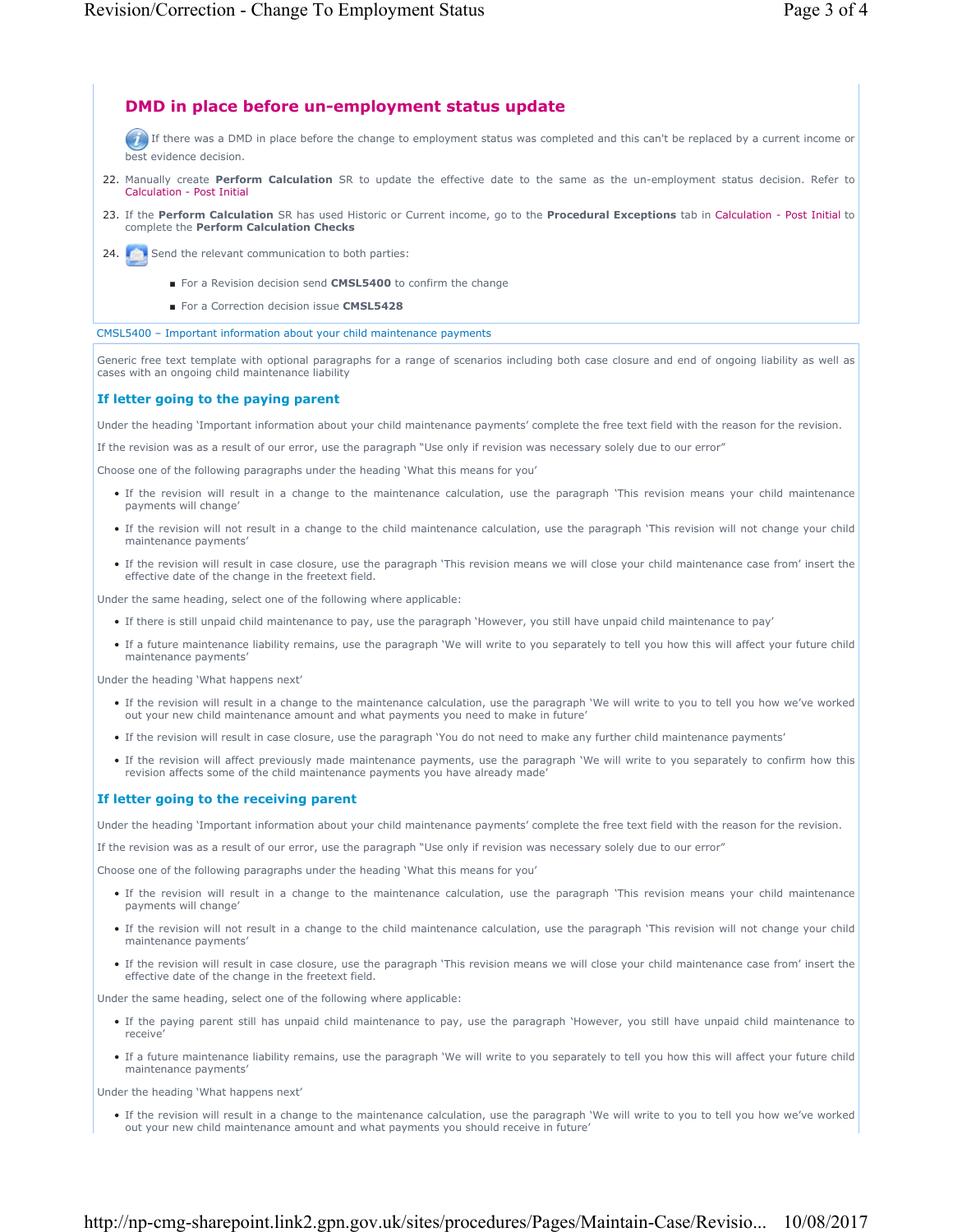### **DMD in place before un-employment status update**

If there was a DMD in place before the change to employment status was completed and this can't be replaced by a current income or best evidence decision.

- 22. Manually create Perform Calculation SR to update the effective date to the same as the un-employment status decision. Refer to Calculation - Post Initial
- 23. If the Perform Calculation SR has used Historic or Current income, go to the Procedural Exceptions tab in Calculation Post Initial to complete the **Perform Calculation Checks**
- 24. Send the relevant communication to both parties:
	- For a Revision decision send **CMSL5400** to confirm the change
	- For a Correction decision issue **CMSL5428**

CMSL5400 – Important information about your child maintenance payments

Generic free text template with optional paragraphs for a range of scenarios including both case closure and end of ongoing liability as well as cases with an ongoing child maintenance liability

#### **If letter going to the paying parent**

Under the heading 'Important information about your child maintenance payments' complete the free text field with the reason for the revision.

If the revision was as a result of our error, use the paragraph "Use only if revision was necessary solely due to our error"

Choose one of the following paragraphs under the heading 'What this means for you'

- If the revision will result in a change to the maintenance calculation, use the paragraph 'This revision means your child maintenance payments will change'
- If the revision will not result in a change to the child maintenance calculation, use the paragraph 'This revision will not change your child maintenance payments'
- If the revision will result in case closure, use the paragraph 'This revision means we will close your child maintenance case from' insert the effective date of the change in the freetext field.

Under the same heading, select one of the following where applicable:

- If there is still unpaid child maintenance to pay, use the paragraph 'However, you still have unpaid child maintenance to pay'
- If a future maintenance liability remains, use the paragraph 'We will write to you separately to tell you how this will affect your future child maintenance payments'

Under the heading 'What happens next'

- If the revision will result in a change to the maintenance calculation, use the paragraph 'We will write to you to tell you how we've worked out your new child maintenance amount and what payments you need to make in future'
- If the revision will result in case closure, use the paragraph 'You do not need to make any further child maintenance payments'
- If the revision will affect previously made maintenance payments, use the paragraph 'We will write to you separately to confirm how this revision affects some of the child maintenance payments you have already made'

#### **If letter going to the receiving parent**

Under the heading 'Important information about your child maintenance payments' complete the free text field with the reason for the revision.

If the revision was as a result of our error, use the paragraph "Use only if revision was necessary solely due to our error"

Choose one of the following paragraphs under the heading 'What this means for you'

- If the revision will result in a change to the maintenance calculation, use the paragraph 'This revision means your child maintenance payments will change'
- If the revision will not result in a change to the child maintenance calculation, use the paragraph 'This revision will not change your child maintenance payments'
- If the revision will result in case closure, use the paragraph 'This revision means we will close your child maintenance case from' insert the effective date of the change in the freetext field.

Under the same heading, select one of the following where applicable:

- If the paying parent still has unpaid child maintenance to pay, use the paragraph 'However, you still have unpaid child maintenance to receive'
- If a future maintenance liability remains, use the paragraph 'We will write to you separately to tell you how this will affect your future child maintenance payments'

Under the heading 'What happens next'

• If the revision will result in a change to the maintenance calculation, use the paragraph 'We will write to you to tell you how we've worked out your new child maintenance amount and what payments you should receive in future'